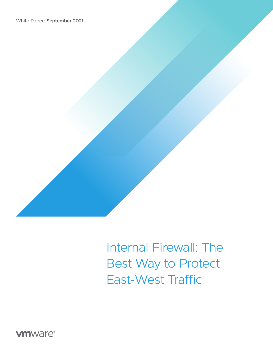

**vm**ware<sup>®</sup>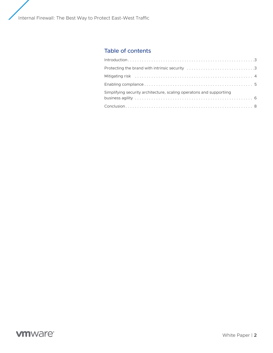## Table of contents

| Simplifying security architecture, scaling operatons and supportiing |
|----------------------------------------------------------------------|
|                                                                      |

# **vmware®**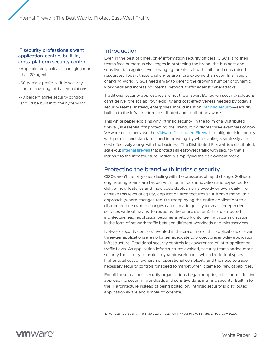### <span id="page-2-0"></span>IT security professionals want application-centric, built-In, cross-platform security control1

- •Approximately half are managing more than 20 agents.
- •60 percent prefer built-in security controls over agent-based solutions.
- 70 percent agree security controls should be built in to the hypervisor.

## Introduction

Even in the best of times, chief information security officers (CISOs) and their teams face numerous challenges in protecting the brand, the business and sensitive data against ever-changing threats—all with finite and constrained resources. Today, those challenges are more extreme than ever. In a rapidly changing world, CISOs need a way to defend the growing number of dynamic workloads and increasing internal network traffic against cyberattacks.

Traditional security approaches are not the answer. Bolted-on security solutions can't deliver the scalability, flexibility and cost effectiveness needed by today's security teams. Instead, enterprises should insist o[n intrinsic security—](https://www.vmware.com/security.html)security built in to the infrastructure, distributed and application aware.

This white paper explains why intrinsic security, in the form of a Distributed firewall, is essential for protecting the brand. It highlights three examples of how VMware customers use the [VMware Distributed Firewall](https://www.vmware.com/security/internal-firewall.html) to mitigate risk, comply with policies and standards, and improve agility while scaling seamlessly and cost effectively along with the business. The Distributed Firewall is a distributed, scale-out [internal firewall](https://www.vmware.com/security/internal-firewall.html) that protects all east-west traffic with security that's intrinsic to the infrastructure, radically simplifying the deployment model.

## Protecting the brand with intrinsic security

CISOs aren't the only ones dealing with the pressures of rapid change. Software engineering teams are tasked with continuous innovation and expected to deliver new features and new code deployments weekly or even daily. To achieve this level of agility, application architectures shift from a monolithic approach (where changes require redeploying the entire application) to a distributed one (where changes can be made quickly to small, independent services without having to redeploy the entire system). In a distributed architecture, each application becomes a network unto itself, with communication in the form of network traffic between different workloads and microservices.

Network security controls invented in the era of monolithic applications or even three-tier applications are no longer adequate to protect present-day application infrastructure. Traditional security controls lack awareness of intra-application traffic flows. As application infrastructures evolved, security teams added more security tools to try to protect dynamic workloads, which led to tool sprawl, higher total cost of ownership, operational complexity and the need to trade necessary security controls for speed to market when it came to new capabilities.

For all these reasons, security organizations began adopting a far more effective approach to securing workloads and sensitive data: intrinsic security. Built in to the IT architecture instead of being bolted on, intrinsic security is distributed, application aware and simple to operate.

<sup>1.</sup> Forrester Consulting. "To Enable Zero Trust, Rethink Your Firewall Strategy." February 2020.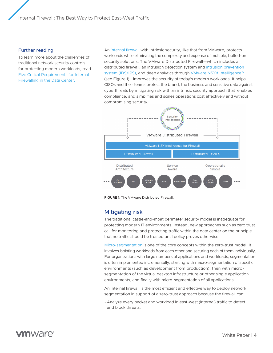#### <span id="page-3-0"></span>Further reading

To learn more about the challenges of traditional network security controls for protecting modern workloads, read [Five Critical Requirements for Internal](https://www.vmware.com/learn/492966_REG.html)  [Firewalling in the Data Center.](https://www.vmware.com/learn/492966_REG.html)

An [internal firewall](https://www.vmware.com/security/internal-firewall.html) with intrinsic security, like that from VMware, protects workloads while eliminating the complexity and expense of multiple, bolted-on security solutions. The VMware Distributed Firewall—which includes a distributed firewall, an intrusion detection system and [intrusion prevention](https://www.vmware.com/products/nsx-distributed-ids-ips.html)  [system \(IDS/IPS\),](https://www.vmware.com/products/nsx-distributed-ids-ips.html) and deep analytics through VMware NSX® Intelligence<sup>™</sup> (see Figure 1)—improves the security of today's modern workloads. It helps CISOs and their teams protect the brand, the business and sensitive data against cyberthreats by mitigating risk with an intrinsic security approach that enables compliance, and simplifies and scales operations cost effectively and without compromising security.



**FIGURE 1:** The VMware Distributed Firewall.

## Mitigating risk

The traditional castle-and-moat perimeter security model is inadequate for protecting modern IT environments. Instead, new approaches such as zero trust call for monitoring and protecting traffic within the data center on the principle that no traffic should be trusted until policy proves otherwise.

[Micro-segmentation](https://www.vmware.com/solutions/micro-segmentation.html) is one of the core concepts within the zero-trust model. It involves isolating workloads from each other and securing each of them individually. For organizations with large numbers of applications and workloads, segmentation is often implemented incrementally, starting with macro-segmentation of specific environments (such as development from production), then with microsegmentation of the virtual desktop infrastructure or other single application environments, and finally with micro-segmentation of all applications.

An internal firewall is the most efficient and effective way to deploy network segmentation in support of a zero-trust approach because the firewall can:

• Analyze every packet and workload in east-west (internal) traffic to detect and block threats.

# mware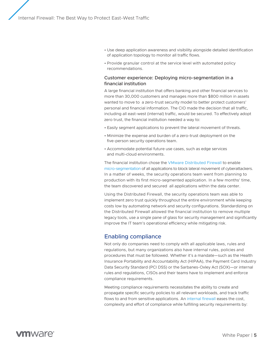- <span id="page-4-0"></span>• Use deep application awareness and visibility alongside detailed identification of application topology to monitor all traffic flows.
- Provide granular control at the service level with automated policy recommendations.

### Customer experience: Deploying micro-segmentation in a financial institution

A large financial institution that offers banking and other financial services to more than 30,000 customers and manages more than \$800 million in assets wanted to move to a zero-trust security model to better protect customers' personal and financial information. The CIO made the decision that all traffic, including all east-west (internal) traffic, would be secured. To effectively adopt zero trust, the financial institution needed a way to:

- Easily segment applications to prevent the lateral movement of threats.
- Minimize the expense and burden of a zero-trust deployment on the five-person security operations team.
- Accommodate potential future use cases, such as edge services and multi-cloud environments.

The financial institution chose the [VMware Distributed Firewall](https://www.vmware.com/security/internal-firewall.html) to enable [micro-segmentation](https://www.vmware.com/solutions/micro-segmentation.html) of all applications to block lateral movement of cyberattackers. In a matter of weeks, the security operations team went from planning to production with its first micro-segmented application. In a few months' time, the team discovered and secured all applications within the data center.

Using the Distributed Firewall, the security operations team was able to implement zero trust quickly throughout the entire environment while keeping costs low by automating network and security configurations. Standardizing on the Distributed Firewall allowed the financial institution to remove multiple legacy tools, use a single pane of glass for security management and significantly improve the IT team's operational efficiency while mitigating risk.

## Enabling compliance

Not only do companies need to comply with all applicable laws, rules and regulations, but many organizations also have internal rules, policies and procedures that must be followed. Whether it's a mandate—such as the Health Insurance Portability and Accountability Act (HIPAA), the Payment Card Industry Data Security Standard (PCI DSS) or the Sarbanes-Oxley Act (SOX)—or internal rules and regulations, CISOs and their teams have to implement and enforce compliance requirements.

Meeting compliance requirements necessitates the ability to create and propagate specific security policies to all relevant workloads, and track traffic flows to and from sensitive applications. An [internal firewall](https://www.vmware.com/security/internal-firewall.html) eases the cost, complexity and effort of compliance while fulfilling security requirements by: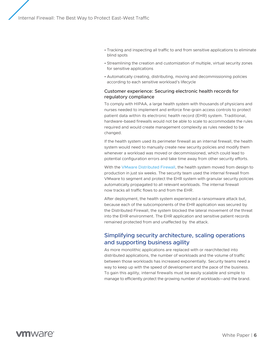- <span id="page-5-0"></span>• Tracking and inspecting all traffic to and from sensitive applications to eliminate blind spots
- Streamlining the creation and customization of multiple, virtual security zones for sensitive applications
- Automatically creating, distributing, moving and decommissioning policies according to each sensitive workload's lifecycle

### Customer experience: Securing electronic health records for regulatory compliance

To comply with HIPAA, a large health system with thousands of physicians and nurses needed to implement and enforce fine-grain access controls to protect patient data within its electronic health record (EHR) system. Traditional, hardware-based firewalls would not be able to scale to accommodate the rules required and would create management complexity as rules needed to be changed.

If the health system used its perimeter firewall as an internal firewall, the health system would need to manually create new security policies and modify them whenever a workload was moved or decommissioned, which could lead to potential configuration errors and take time away from other security efforts.

With the [VMware Distributed Firewall](https://www.vmware.com/security/internal-firewall.html), the health system moved from design to production in just six weeks. The security team used the internal firewall from VMware to segment and protect the EHR system with granular security policies automatically propagated to all relevant workloads. The internal firewall now tracks all traffic flows to and from the EHR.

After deployment, the health system experienced a ransomware attack but, because each of the subcomponents of the EHR application was secured by the Distributed Firewall, the system blocked the lateral movement of the threat into the EHR environment. The EHR application and sensitive patient records remained protected from and unaffected by the attack.

## Simplifying security architecture, scaling operations and supporting business agility

As more monolithic applications are replaced with or rearchitected into distributed applications, the number of workloads and the volume of traffic between those workloads has increased exponentially. Security teams need a way to keep up with the speed of development and the pace of the business. To gain this agility, internal firewalls must be easily scalable and simple to manage to efficiently protect the growing number of workloads—and the brand.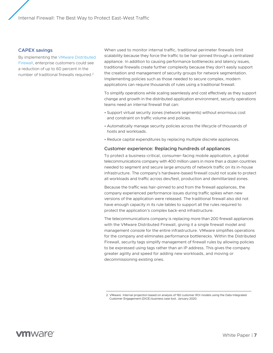#### CAPEX savings

By implementing the VMware Distributed Firewall, enterprise customers could see a reduction of up to 60 percent in the number of traditional firewalls required.2

When used to monitor internal traffic, traditional perimeter firewalls limit scalability because they force the traffic to be hair-pinned through a centralized appliance. In addition to causing performance bottlenecks and latency issues, traditional firewalls create further complexity because they don't easily support the creation and management of security groups for network segmentation. Implementing policies such as those needed to secure complex, modern applications can require thousands of rules using a traditional firewall.

To simplify operations while scaling seamlessly and cost effectively as they support change and growth in the distributed application environment, security operations teams need an internal firewall that can:

- Support virtual security zones (network segments) without enormous cost and constraint on traffic volume and policies.
- Automatically manage security policies across the lifecycle of thousands of hosts and workloads.
- Reduce capital expenditures by replacing multiple discrete appliances.

#### Customer experience: Replacing hundreds of appliances

To protect a business-critical, consumer-facing mobile application, a global telecommunications company with 400 million users in more than a dozen countries needed to segment and secure large amounts of network traffic on its in-house infrastructure. The company's hardware-based firewall could not scale to protect all workloads and traffic across dev/test, production and demilitarized zones.

Because the traffic was hair-pinned to and from the firewall appliances, the company experienced performance issues during traffic spikes when new versions of the application were released. The traditional firewall also did not have enough capacity in its rule tables to support all the rules required to protect the application's complex back-end infrastructure.

The telecommunications company is replacing more than 200 firewall appliances with the VMware Distributed Firewall, giving it a single firewall model and management console for the entire infrastructure. VMware simplifies operations for the company and eliminates performance bottlenecks. Within the Distributed Firewall, security tags simplify management of firewall rules by allowing policies to be expressed using tags rather than an IP address. This gives the company greater agility and speed for adding new workloads, and moving or decommissioning existing ones.

<sup>2.</sup> VMware. Internal projection based on analysis of 192 customer ROI models using the Data Integrated Customer Engagement (DICE) business case tool. January 2020.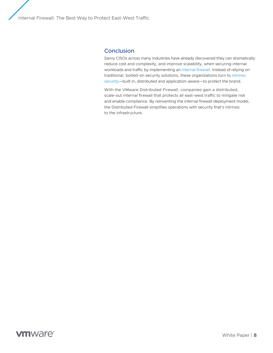## <span id="page-7-0"></span>**Conclusion**

Savvy CISOs across many industries have already discovered they can dramatically reduce cost and complexity, and improve scalability, when securing internal workloads and traffic by implementing an [internal firewall.](https://www.vmware.com/security/internal-firewall.html) Instead of relying on traditional, bolted-on security solutions, these organizations turn to [intrinsic](https://www.vmware.com/security.html)  [security](https://www.vmware.com/security.html)—built in, distributed and application-aware—to protect the brand.

With the VMware Distributed Firewall, companies gain a distributed, scale-out internal firewall that protects all east-west traffic to mitigate risk and enable compliance. By reinventing the internal firewall deployment model, the Distributed Firewall simplifies operations with security that's intrinsic to the infrastructure.

# **vm**ware<sup>®</sup>